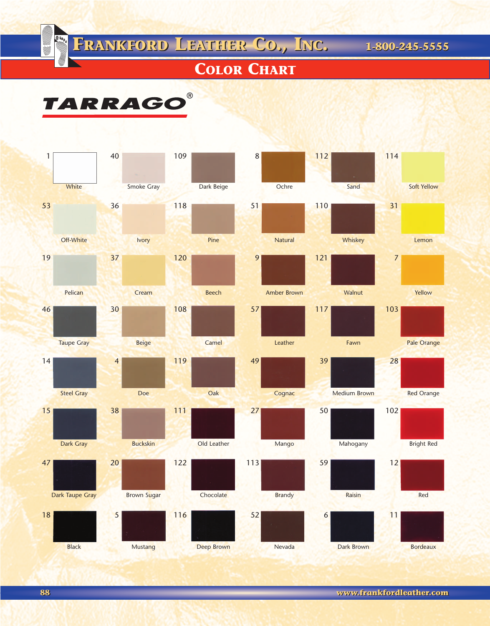**FRANKFORD LEATHER CO., INC. 1-800-245-5555 FRANKFORD LEATHER CO., INC. 1-800-245-5555**

## **COLOR CHART**